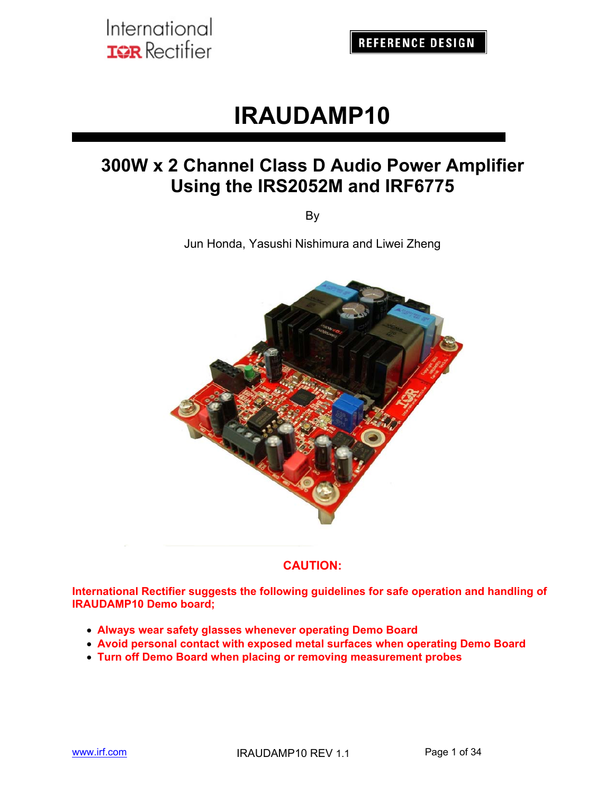**REFERENCE DESIGN** 

# **IRAUDAMP10**

## **300W x 2 Channel Class D Audio Power Amplifier Using the IRS2052M and IRF6775**

By

Jun Honda, Yasushi Nishimura and Liwei Zheng



#### **CAUTION:**

**International Rectifier suggests the following guidelines for safe operation and handling of IRAUDAMP10 Demo board;** 

- **Always wear safety glasses whenever operating Demo Board**
- **Avoid personal contact with exposed metal surfaces when operating Demo Board**
- **Turn off Demo Board when placing or removing measurement probes**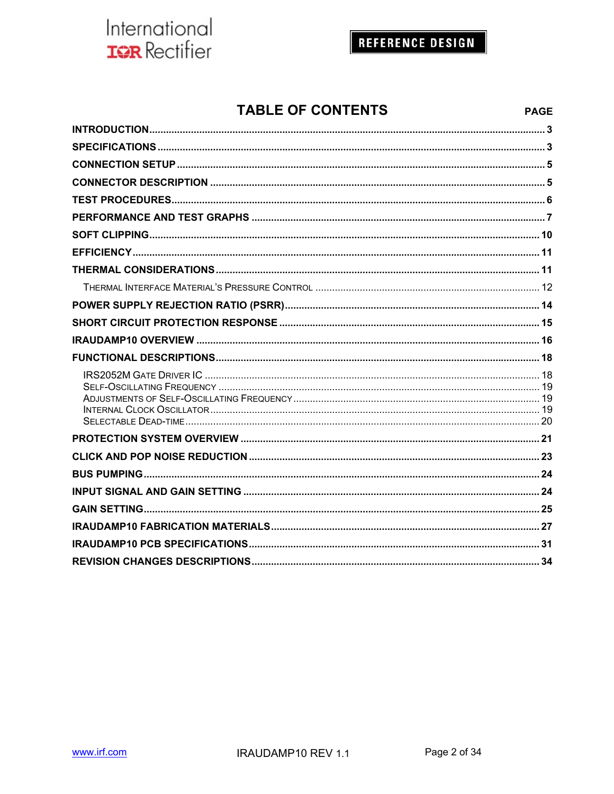## **REFERENCE DESIGN**

**PAGE** 

### **TABLE OF CONTENTS**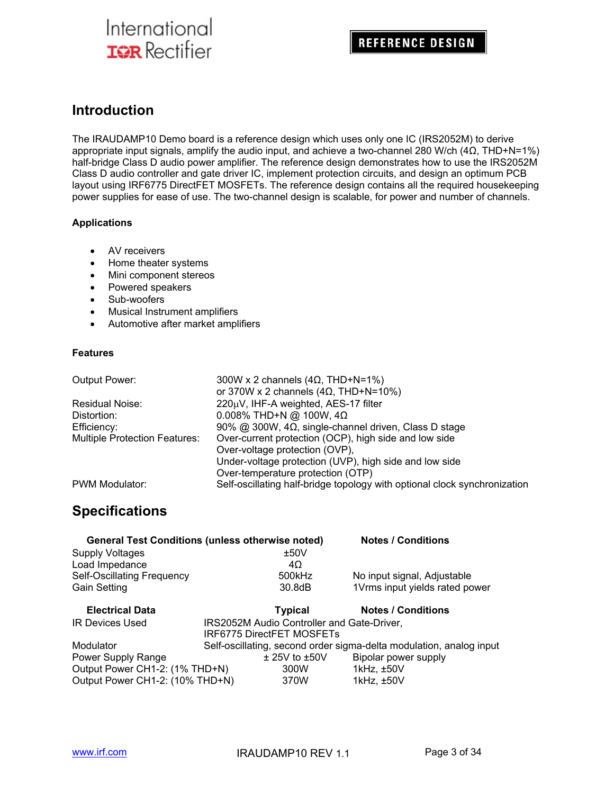### **Introduction**

The IRAUDAMP10 Demo board is a reference design which uses only one IC (IRS2052M) to derive appropriate input signals, amplify the audio input, and achieve a two-channel 280 W/ch (4Ω, THD+N=1%) half-bridge Class D audio power amplifier. The reference design demonstrates how to use the IRS2052M Class D audio controller and gate driver IC, implement protection circuits, and design an optimum PCB layout using IRF6775 DirectFET MOSFETs. The reference design contains all the required housekeeping power supplies for ease of use. The two-channel design is scalable, for power and number of channels.

#### **Applications**

- AV receivers
- Home theater systems
- Mini component stereos
- Powered speakers
- Sub-woofers
- Musical Instrument amplifiers
- Automotive after market amplifiers

#### **Features**

| Output Power:                        | 300W x 2 channels $(4\Omega, THD+N=1\%)$                                  |
|--------------------------------------|---------------------------------------------------------------------------|
|                                      | or 370W x 2 channels (4 $\Omega$ , THD+N=10%)                             |
| Residual Noise:                      | 220µV, IHF-A weighted, AES-17 filter                                      |
| Distortion:                          | $0.008\%$ THD+N @ 100W, 4 $\Omega$                                        |
| Efficiency:                          | 90% @ 300W, $4\Omega$ , single-channel driven, Class D stage              |
| <b>Multiple Protection Features:</b> | Over-current protection (OCP), high side and low side                     |
|                                      | Over-voltage protection (OVP),                                            |
|                                      | Under-voltage protection (UVP), high side and low side                    |
|                                      | Over-temperature protection (OTP)                                         |
| PWM Modulator:                       | Self-oscillating half-bridge topology with optional clock synchronization |

### **Specifications**

|                                 | <b>General Test Conditions (unless otherwise noted)</b> | <b>Notes / Conditions</b>                                           |
|---------------------------------|---------------------------------------------------------|---------------------------------------------------------------------|
| <b>Supply Voltages</b>          | ±50V                                                    |                                                                     |
| Load Impedance                  | 4Ω                                                      |                                                                     |
| Self-Oscillating Frequency      | 500kHz                                                  | No input signal, Adjustable                                         |
| <b>Gain Setting</b>             | 30.8dB                                                  | 1Vrms input yields rated power                                      |
| <b>Electrical Data</b>          | <b>Typical</b>                                          | <b>Notes / Conditions</b>                                           |
| <b>IR Devices Used</b>          | IRS2052M Audio Controller and Gate-Driver,              |                                                                     |
|                                 | <b>IRF6775 DirectFET MOSFETs</b>                        |                                                                     |
| Modulator                       |                                                         | Self-oscillating, second order sigma-delta modulation, analog input |
| Power Supply Range              | $\pm$ 25V to $\pm$ 50V                                  | Bipolar power supply                                                |
| Output Power CH1-2: (1% THD+N)  | 300W                                                    | 1kHz, ±50V                                                          |
| Output Power CH1-2: (10% THD+N) | 370W                                                    | 1kHz, ±50V                                                          |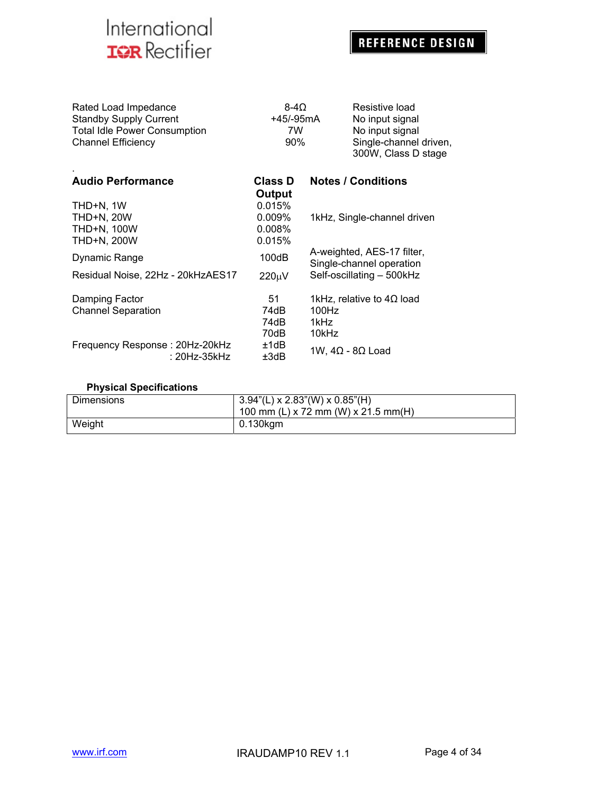## **REFERENCE DESIGN**

| Rated Load Impedance                | $8-40$    | Resistive load                                |
|-------------------------------------|-----------|-----------------------------------------------|
| <b>Standby Supply Current</b>       | +45/-95mA | No input signal                               |
| <b>Total Idle Power Consumption</b> | 7W        | No input signal                               |
| <b>Channel Efficiency</b>           | $90\%$    | Single-channel driven,<br>300W, Class D stage |
|                                     |           |                                               |

| <b>Audio Performance</b>          | <b>Class D</b><br>Output | <b>Notes / Conditions</b>                              |
|-----------------------------------|--------------------------|--------------------------------------------------------|
| THD+N. 1W                         | 0.015%                   |                                                        |
| <b>THD+N, 20W</b>                 | 0.009%                   | 1kHz, Single-channel driven                            |
| <b>THD+N, 100W</b>                | 0.008%                   |                                                        |
| THD+N, 200W                       | 0.015%                   |                                                        |
| Dynamic Range                     | 100dB                    | A-weighted, AES-17 filter,<br>Single-channel operation |
| Residual Noise, 22Hz - 20kHzAES17 | $220 \mu V$              | Self-oscillating - 500kHz                              |
| Damping Factor                    | 51                       | 1kHz, relative to $4\Omega$ load                       |
| <b>Channel Separation</b>         | 74dB                     | 100Hz                                                  |
|                                   | 74dB                     | 1kHz                                                   |
|                                   | 70dB                     | 10kHz                                                  |
| Frequency Response: 20Hz-20kHz    | ±1dB                     |                                                        |
| : 20Hz-35kHz                      | ±3dB                     | 1W, $4\Omega$ - 8Ω Load                                |

#### **Physical Specifications**

| <b>Dimensions</b> | $3.94$ "(L) x 2.83"(W) x 0.85"(H)<br>100 mm (L) x 72 mm (W) x 21.5 mm(H) |
|-------------------|--------------------------------------------------------------------------|
| Weight            | 0.130kgm                                                                 |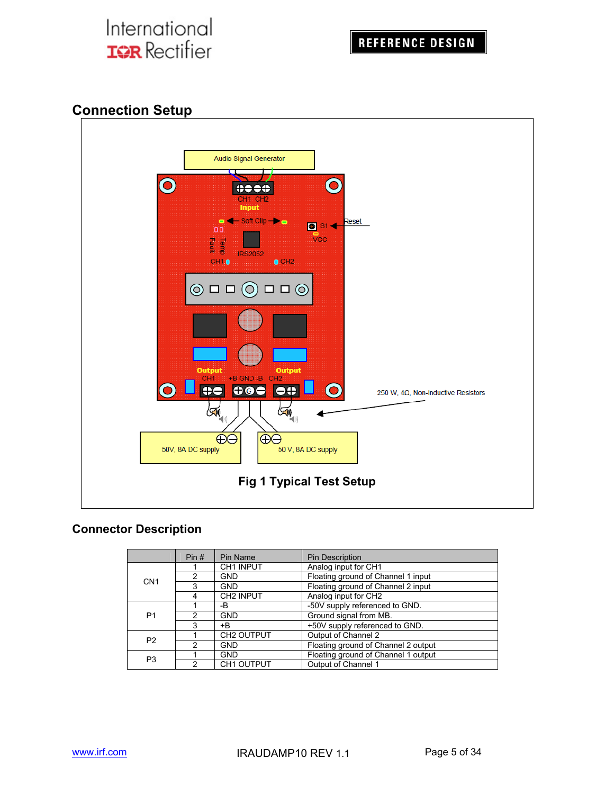### **Connection Setup**



#### **Connector Description**

|                 | Pin# | Pin Name               | <b>Pin Description</b>              |
|-----------------|------|------------------------|-------------------------------------|
|                 |      | CH1 INPUT              | Analog input for CH1                |
| CN <sub>1</sub> |      | <b>GND</b>             | Floating ground of Channel 1 input  |
|                 | з    | <b>GND</b>             | Floating ground of Channel 2 input  |
|                 | 4    | CH <sub>2</sub> INPUT  | Analog input for CH2                |
|                 |      | -В                     | -50V supply referenced to GND.      |
| P <sub>1</sub>  |      | <b>GND</b>             | Ground signal from MB.              |
|                 | 3    | +B                     | +50V supply referenced to GND.      |
| P <sub>2</sub>  |      | CH <sub>2</sub> OUTPUT | Output of Channel 2                 |
|                 | 2    | <b>GND</b>             | Floating ground of Channel 2 output |
| P <sub>3</sub>  |      | <b>GND</b>             | Floating ground of Channel 1 output |
|                 |      | <b>CH1 OUTPUT</b>      | Output of Channel 1                 |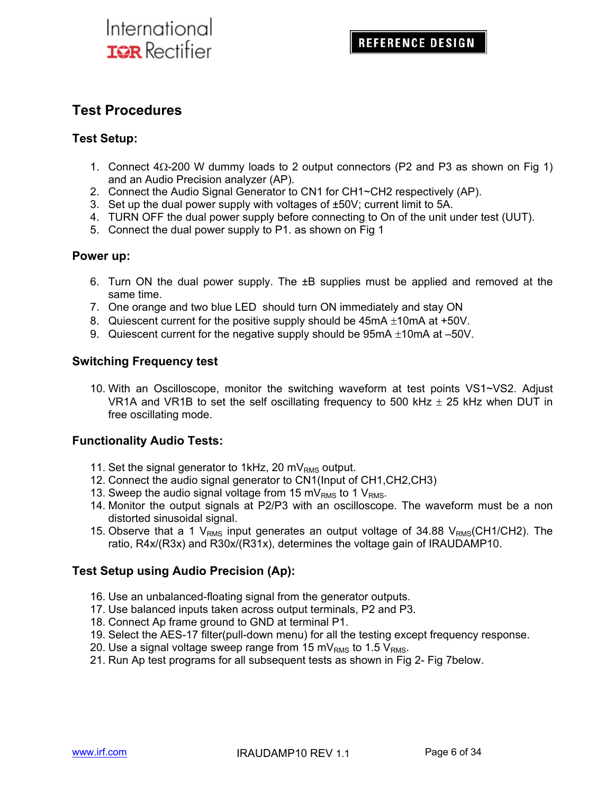### **Test Procedures**

#### **Test Setup:**

- 1. Connect  $4\Omega$ -200 W dummy loads to 2 output connectors (P2 and P3 as shown on Fig 1) and an Audio Precision analyzer (AP).
- 2. Connect the Audio Signal Generator to CN1 for CH1~CH2 respectively (AP).
- 3. Set up the dual power supply with voltages of ±50V; current limit to 5A.
- 4. TURN OFF the dual power supply before connecting to On of the unit under test (UUT).
- 5. Connect the dual power supply to P1. as shown on Fig 1

#### **Power up:**

- 6. Turn ON the dual power supply. The  $\pm B$  supplies must be applied and removed at the same time.
- 7. One orange and two blue LED should turn ON immediately and stay ON
- 8. Quiescent current for the positive supply should be  $45mA \pm 10mA$  at  $+50V$ .
- 9. Quiescent current for the negative supply should be 95mA  $\pm$ 10mA at –50V.

#### **Switching Frequency test**

10. With an Oscilloscope, monitor the switching waveform at test points VS1~VS2. Adjust VR1A and VR1B to set the self oscillating frequency to 500 kHz  $\pm$  25 kHz when DUT in free oscillating mode.

#### **Functionality Audio Tests:**

- 11. Set the signal generator to 1kHz, 20 m $V_{RMS}$  output.
- 12. Connect the audio signal generator to CN1(Input of CH1,CH2,CH3)
- 13. Sweep the audio signal voltage from 15 mV<sub>RMS</sub> to 1 V<sub>RMS</sub>.
- 14. Monitor the output signals at P2/P3 with an oscilloscope. The waveform must be a non distorted sinusoidal signal.
- 15. Observe that a 1  $V<sub>RMS</sub>$  input generates an output voltage of 34.88  $V<sub>RMS</sub>(CH1/CH2)$ . The ratio, R4x/(R3x) and R30x/(R31x), determines the voltage gain of IRAUDAMP10.

#### **Test Setup using Audio Precision (Ap):**

- 16. Use an unbalanced-floating signal from the generator outputs.
- 17. Use balanced inputs taken across output terminals, P2 and P3.
- 18. Connect Ap frame ground to GND at terminal P1.
- 19. Select the AES-17 filter(pull-down menu) for all the testing except frequency response.
- 20. Use a signal voltage sweep range from 15 mV<sub>RMS</sub> to 1.5 V<sub>RMS</sub>.
- 21. Run Ap test programs for all subsequent tests as shown in Fig 2- Fig 7below.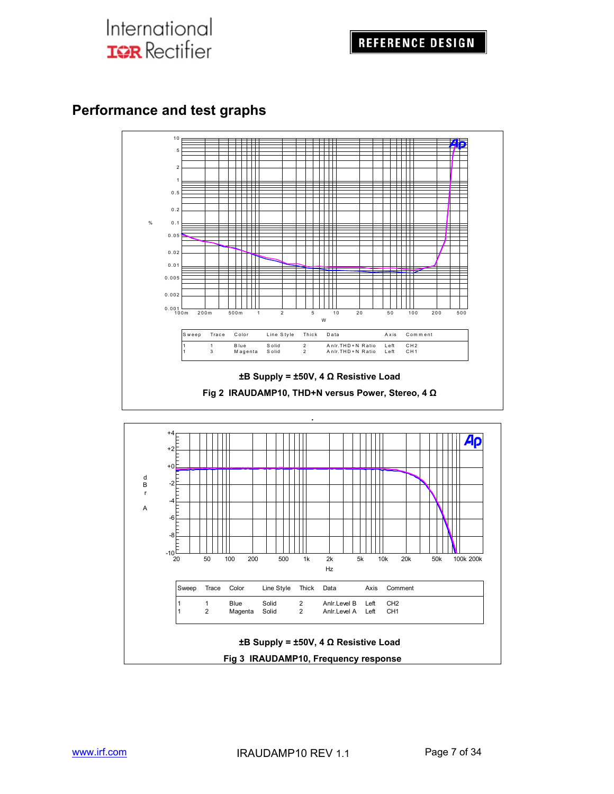### **Performance and test graphs**

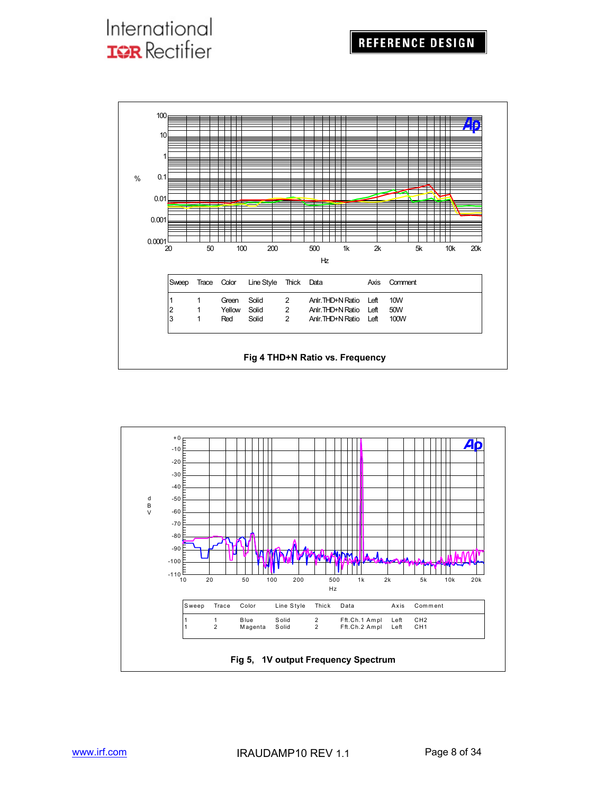### **REFERENCE DESIGN**

# International **IGR** Rectifier



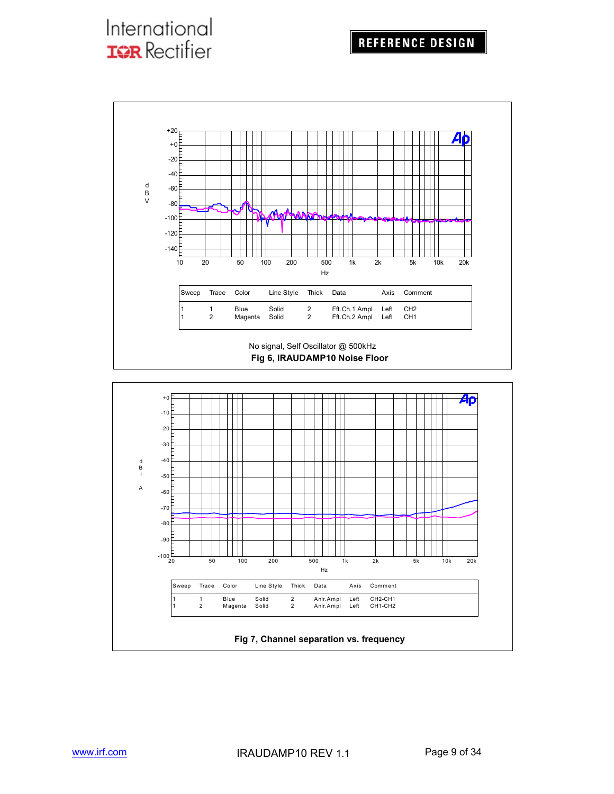

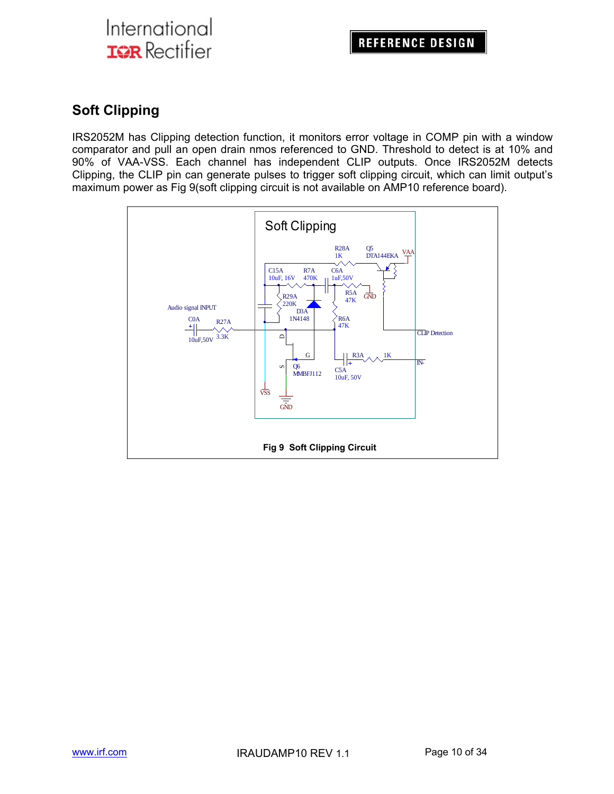### **Soft Clipping**

IRS2052M has Clipping detection function, it monitors error voltage in COMP pin with a window comparator and pull an open drain nmos referenced to GND. Threshold to detect is at 10% and 90% of VAA-VSS. Each channel has independent CLIP outputs. Once IRS2052M detects Clipping, the CLIP pin can generate pulses to trigger soft clipping circuit, which can limit output's maximum power as Fig 9(soft clipping circuit is not available on AMP10 reference board).

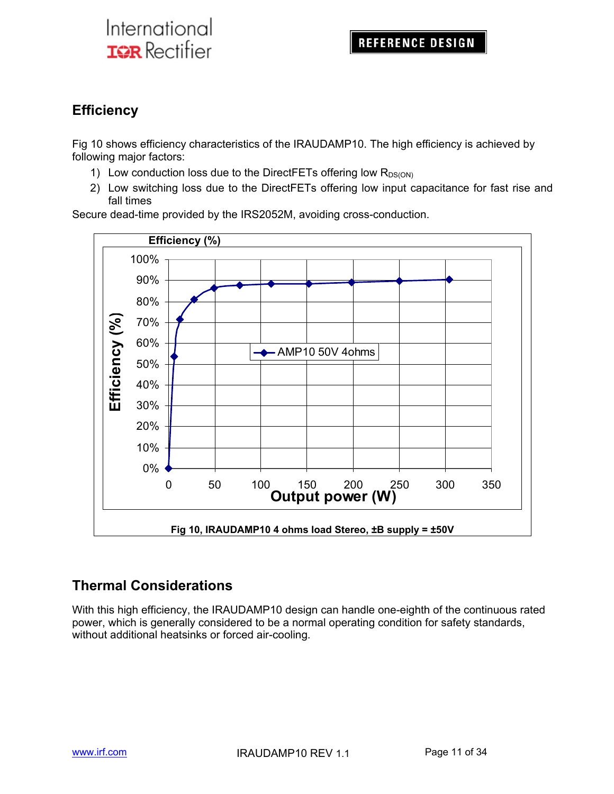### **Efficiency**

Fig 10 shows efficiency characteristics of the IRAUDAMP10. The high efficiency is achieved by following major factors:

- 1) Low conduction loss due to the DirectFETs offering low  $R_{DS(ON)}$
- 2) Low switching loss due to the DirectFETs offering low input capacitance for fast rise and fall times

Secure dead-time provided by the IRS2052M, avoiding cross-conduction.



### **Thermal Considerations**

With this high efficiency, the IRAUDAMP10 design can handle one-eighth of the continuous rated power, which is generally considered to be a normal operating condition for safety standards, without additional heatsinks or forced air-cooling.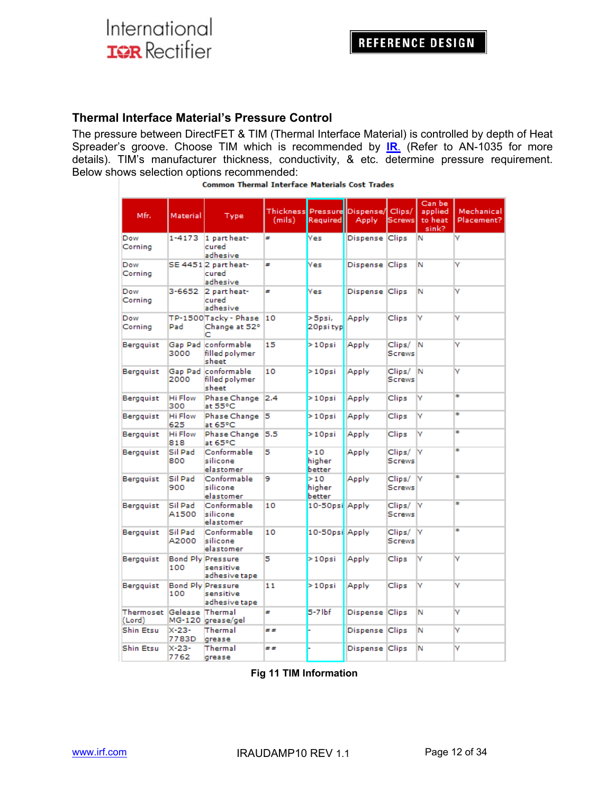#### **Thermal Interface Material's Pressure Control**

The pressure between DirectFET & TIM (Thermal Interface Material) is controlled by depth of Heat Spreader's groove. Choose TIM which is recommended by **IR.** (Refer to AN-1035 for more details). TIM's manufacturer thickness, conductivity, & etc. determine pressure requirement. Below shows selection options recommended:

| Mfr.                                  | Material              | Type                                                   | (mils) | Required                | Thickness Pressure Dispense/ Clips/<br>Apply | <b>Screws</b>           | Can be<br>applied<br>to heat<br>sink? | Mechanical<br>Placement? |
|---------------------------------------|-----------------------|--------------------------------------------------------|--------|-------------------------|----------------------------------------------|-------------------------|---------------------------------------|--------------------------|
| Dow<br>Corning                        | 1-4173                | 1 part heat-<br>cured<br>adhesive                      | #      | <b>Yes</b>              | Dispense Clips                               |                         | N                                     | v                        |
| Dow<br>Cornina                        |                       | SE 44512 part heat-<br>cured<br>adhesive               | ₩      | <b>Yes</b>              | Dispense Clips                               |                         | Ν                                     | v                        |
| Dow<br>Corning                        | 3-6652                | 2 part heat-<br>cured<br>adhesive                      | ×      | Yes                     | Dispense Clips                               |                         | Ν                                     | v                        |
| Dow<br>Corning                        | Pad                   | TP-1500Tacky - Phase<br>Change at 52°<br>с             | 10     | $>$ 5psi,<br>20psi typ  | Apply                                        | Clips                   | M                                     | v                        |
| Bergguist                             | 3000                  | Gap Pad conformable<br>filled polymer.<br>sheet        | 15     | $>10$ psi               | Apply                                        | Clips/<br><b>Screws</b> | N                                     | v                        |
| Bergquist                             | 2000                  | Gap Pad conformable<br>filled polymer<br>sheet         | 10     | $>10$ psi               | Apply                                        | Clips/<br><b>Screws</b> | IN.                                   | v                        |
| Bergquist                             | <b>Hi Flow</b><br>300 | Phase Change<br>at 55°C                                | 2.4    | $>10$ psi               | Apply                                        | Clips                   | v                                     | ÷                        |
| Bergquist                             | Hi Flow<br>625        | Phase Change<br>at 65°C                                | 15     | $>10$ psi               | Apply                                        | Clips                   | v                                     | ÷                        |
| Bergquist                             | Hi Flow<br>818        | Phase Change<br>at 65°C                                | 5.5    | $>10$ psi               | Apply                                        | Clips                   | M                                     | ÷                        |
| Bergguist                             | Sil Pad<br>800        | Conformable<br>silicone<br>elastomer                   | 5      | >10<br>higher<br>better | Apply                                        | Clips/<br><b>Screws</b> | lv                                    | ÷                        |
| Bergguist                             | Sil Pad<br>900        | Conformable<br>silicone<br>elastomer                   | 9      | >10<br>higher<br>better | Apply                                        | Clips/<br><b>Screws</b> | IV                                    | ÷                        |
| Bergguist                             | Sil Pad<br>A1500      | Conformable<br>silicone<br>elastomer                   | 10     | 10-50psi Apply          |                                              | Clips/<br><b>Screws</b> | <b>N</b>                              | ÷                        |
| Bergquist                             | Sil Pad<br>A2000      | Conformable<br>silicone<br>elastomer                   | 10     | 10-50psi Apply          |                                              | Clips/<br><b>Screws</b> | M                                     | ÷                        |
| Bergguist                             | 100                   | <b>Bond Ply Pressure</b><br>sensitive<br>adhesive tape | 5      | $>10$ psi               | Apply                                        | Clips                   | M                                     | v                        |
| Bergguist                             | 100                   | <b>Bond Ply Pressure</b><br>sensitive<br>adhesive tape | 11     | $>10$ psi               | Apply                                        | Clips                   | ۷                                     | ٧                        |
| Thermoset  Gelease  Thermal<br>(Lord) |                       | MG-120 grease/gel                                      | ×      | $5-7$ lbf               | Dispense Clips                               |                         | Ν                                     | v                        |
| Shin Etsu                             | $X - 23 -$<br>7783D   | Thermal<br>grease                                      | ##     |                         | Dispense Clips                               |                         | Ν                                     | ۷                        |
| Shin Etsu                             | $X - 23 -$<br>7762    | Thermal<br>grease                                      | ##     |                         | Dispense Clips                               |                         | Ν                                     | ۷                        |

|  | <b>Common Thermal Interface Materials Cost Trades</b> |  |  |
|--|-------------------------------------------------------|--|--|
|  |                                                       |  |  |

**Fig 11 TIM Information**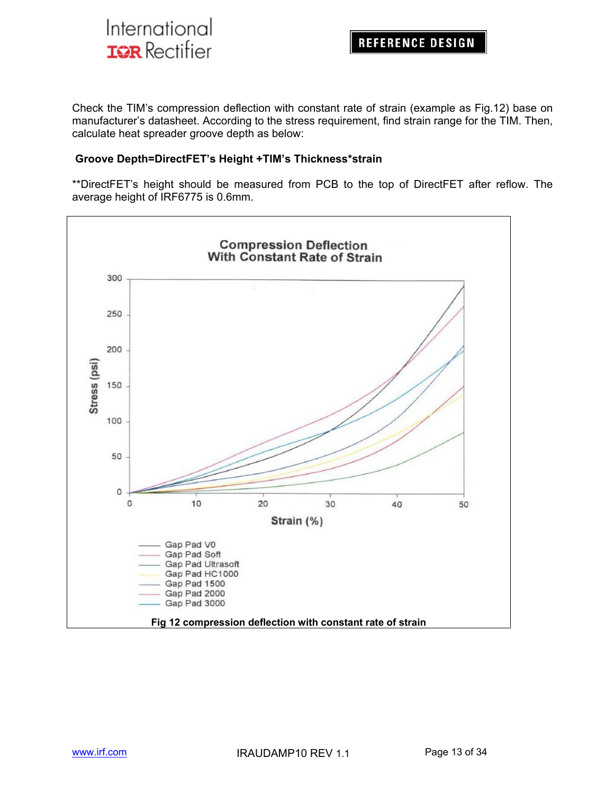

Check the TIM's compression deflection with constant rate of strain (example as Fig.12) base on manufacturer's datasheet. According to the stress requirement, find strain range for the TIM. Then, calculate heat spreader groove depth as below:

#### **Groove Depth=DirectFET's Height +TIM's Thickness\*strain**

\*\*DirectFET's height should be measured from PCB to the top of DirectFET after reflow. The average height of IRF6775 is 0.6mm.

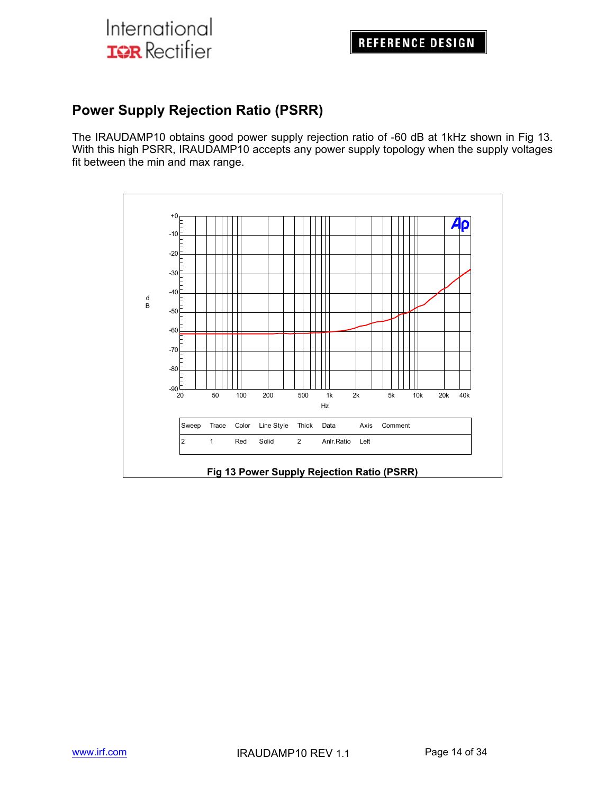### **Power Supply Rejection Ratio (PSRR)**

The IRAUDAMP10 obtains good power supply rejection ratio of -60 dB at 1kHz shown in Fig 13. With this high PSRR, IRAUDAMP10 accepts any power supply topology when the supply voltages fit between the min and max range.

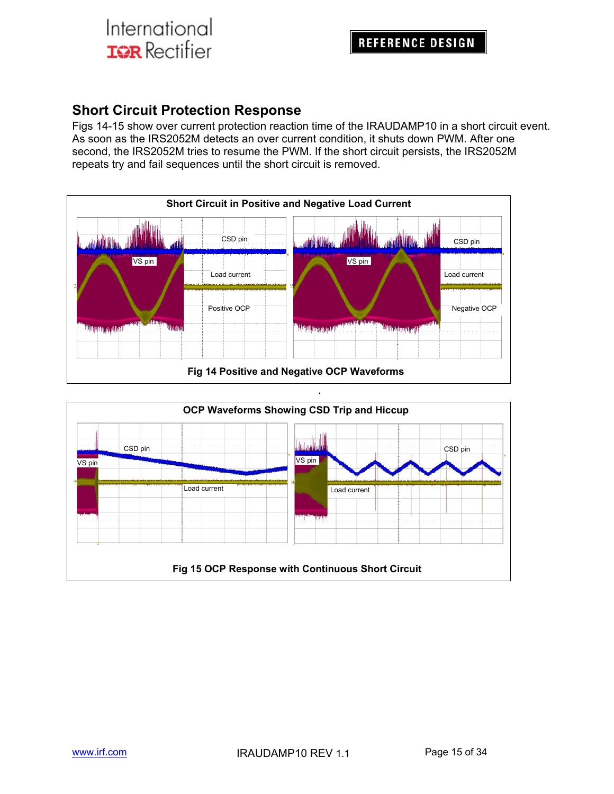### **Short Circuit Protection Response**

Figs 14-15 show over current protection reaction time of the IRAUDAMP10 in a short circuit event. As soon as the IRS2052M detects an over current condition, it shuts down PWM. After one second, the IRS2052M tries to resume the PWM. If the short circuit persists, the IRS2052M repeats try and fail sequences until the short circuit is removed.



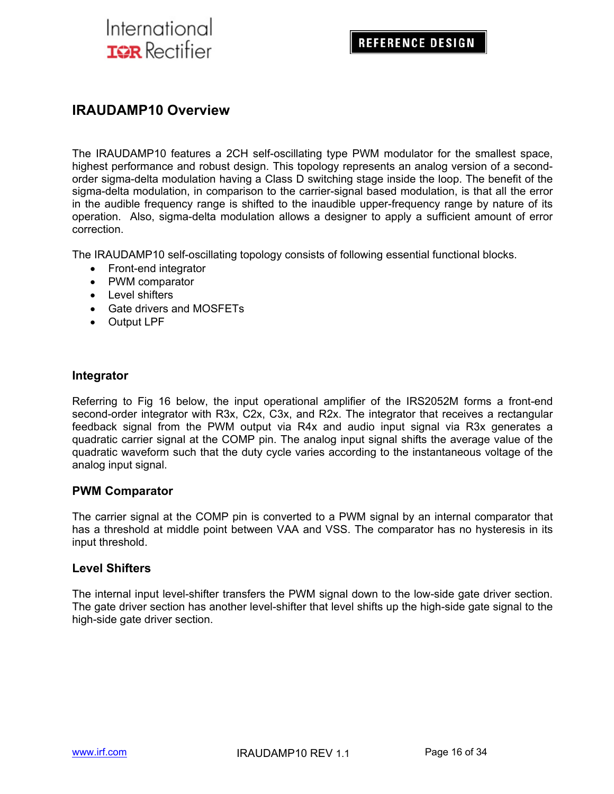### **IRAUDAMP10 Overview**

The IRAUDAMP10 features a 2CH self-oscillating type PWM modulator for the smallest space, highest performance and robust design. This topology represents an analog version of a secondorder sigma-delta modulation having a Class D switching stage inside the loop. The benefit of the sigma-delta modulation, in comparison to the carrier-signal based modulation, is that all the error in the audible frequency range is shifted to the inaudible upper-frequency range by nature of its operation. Also, sigma-delta modulation allows a designer to apply a sufficient amount of error correction.

The IRAUDAMP10 self-oscillating topology consists of following essential functional blocks.

- Front-end integrator
- PWM comparator
- Level shifters
- Gate drivers and MOSFETs
- Output LPF

#### **Integrator**

Referring to Fig 16 below, the input operational amplifier of the IRS2052M forms a front-end second-order integrator with R3x, C2x, C3x, and R2x. The integrator that receives a rectangular feedback signal from the PWM output via R4x and audio input signal via R3x generates a quadratic carrier signal at the COMP pin. The analog input signal shifts the average value of the quadratic waveform such that the duty cycle varies according to the instantaneous voltage of the analog input signal.

#### **PWM Comparator**

The carrier signal at the COMP pin is converted to a PWM signal by an internal comparator that has a threshold at middle point between VAA and VSS. The comparator has no hysteresis in its input threshold.

#### **Level Shifters**

The internal input level-shifter transfers the PWM signal down to the low-side gate driver section. The gate driver section has another level-shifter that level shifts up the high-side gate signal to the high-side gate driver section.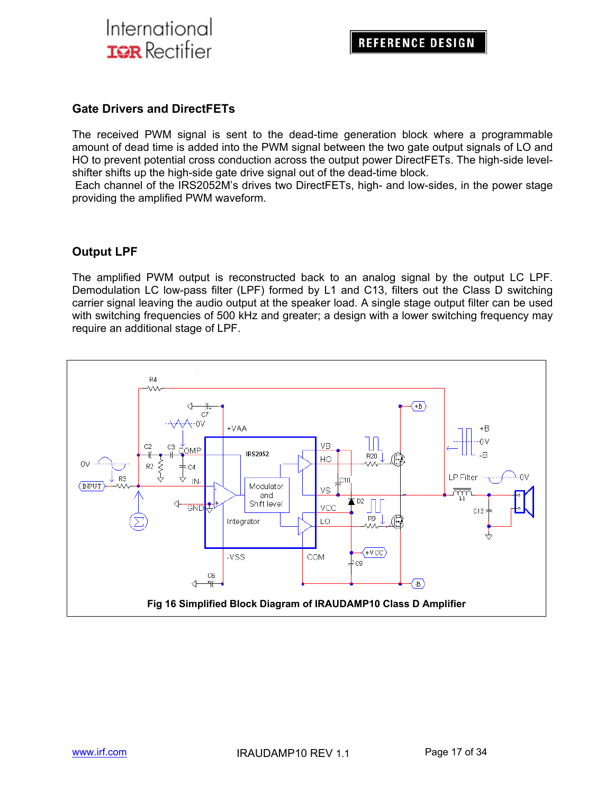

#### **Gate Drivers and DirectFETs**

The received PWM signal is sent to the dead-time generation block where a programmable amount of dead time is added into the PWM signal between the two gate output signals of LO and HO to prevent potential cross conduction across the output power DirectFETs. The high-side levelshifter shifts up the high-side gate drive signal out of the dead-time block.

 Each channel of the IRS2052M's drives two DirectFETs, high- and low-sides, in the power stage providing the amplified PWM waveform.

#### **Output LPF**

The amplified PWM output is reconstructed back to an analog signal by the output LC LPF. Demodulation LC low-pass filter (LPF) formed by L1 and C13, filters out the Class D switching carrier signal leaving the audio output at the speaker load. A single stage output filter can be used with switching frequencies of 500 kHz and greater; a design with a lower switching frequency may require an additional stage of LPF.

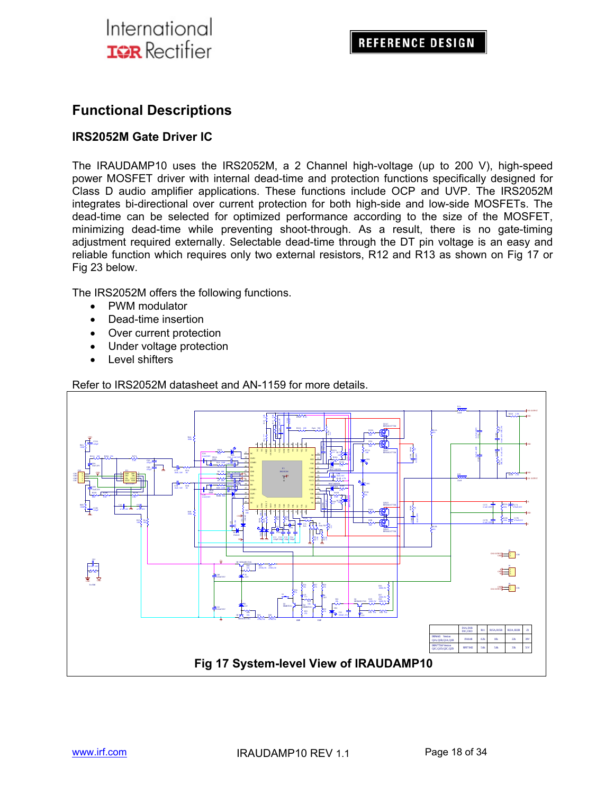### **Functional Descriptions**

#### **IRS2052M Gate Driver IC**

The IRAUDAMP10 uses the IRS2052M, a 2 Channel high-voltage (up to 200 V), high-speed power MOSFET driver with internal dead-time and protection functions specifically designed for Class D audio amplifier applications. These functions include OCP and UVP. The IRS2052M integrates bi-directional over current protection for both high-side and low-side MOSFETs. The dead-time can be selected for optimized performance according to the size of the MOSFET, minimizing dead-time while preventing shoot-through. As a result, there is no gate-timing adjustment required externally. Selectable dead-time through the DT pin voltage is an easy and reliable function which requires only two external resistors, R12 and R13 as shown on Fig 17 or Fig 23 below.

The IRS2052M offers the following functions.

- PWM modulator
- Dead-time insertion
- Over current protection
- Under voltage protection
- Level shifters



Refer to IRS2052M datasheet and AN-1159 for more details.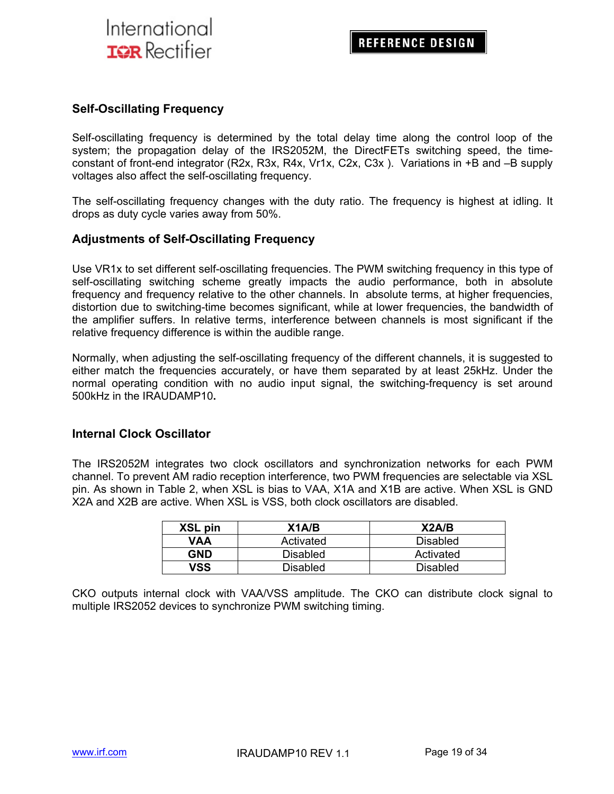#### **Self-Oscillating Frequency**

Self-oscillating frequency is determined by the total delay time along the control loop of the system; the propagation delay of the IRS2052M, the DirectFETs switching speed, the timeconstant of front-end integrator (R2x, R3x, R4x, Vr1x, C2x, C3x ). Variations in +B and –B supply voltages also affect the self-oscillating frequency.

The self-oscillating frequency changes with the duty ratio. The frequency is highest at idling. It drops as duty cycle varies away from 50%.

#### **Adjustments of Self-Oscillating Frequency**

Use VR1x to set different self-oscillating frequencies. The PWM switching frequency in this type of self-oscillating switching scheme greatly impacts the audio performance, both in absolute frequency and frequency relative to the other channels. In absolute terms, at higher frequencies, distortion due to switching-time becomes significant, while at lower frequencies, the bandwidth of the amplifier suffers. In relative terms, interference between channels is most significant if the relative frequency difference is within the audible range.

Normally, when adjusting the self-oscillating frequency of the different channels, it is suggested to either match the frequencies accurately, or have them separated by at least 25kHz. Under the normal operating condition with no audio input signal, the switching-frequency is set around 500kHz in the IRAUDAMP10**.** 

#### **Internal Clock Oscillator**

The IRS2052M integrates two clock oscillators and synchronization networks for each PWM channel. To prevent AM radio reception interference, two PWM frequencies are selectable via XSL pin. As shown in Table 2, when XSL is bias to VAA, X1A and X1B are active. When XSL is GND X2A and X2B are active. When XSL is VSS, both clock oscillators are disabled.

| XSL pin | X1A/B     | X2A/B           |
|---------|-----------|-----------------|
| VAA     | Activated | <b>Disabled</b> |
| GND     | Disabled  | Activated       |
| vss     | Disabled  | <b>Disabled</b> |

CKO outputs internal clock with VAA/VSS amplitude. The CKO can distribute clock signal to multiple IRS2052 devices to synchronize PWM switching timing.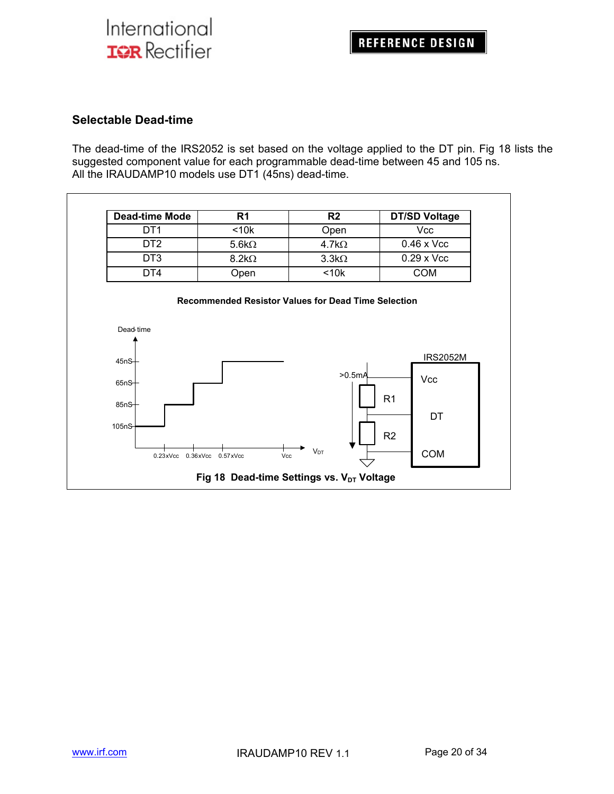#### **Selectable Dead-time**

The dead-time of the IRS2052 is set based on the voltage applied to the DT pin. Fig 18 lists the suggested component value for each programmable dead-time between 45 and 105 ns. All the IRAUDAMP10 models use DT1 (45ns) dead-time.

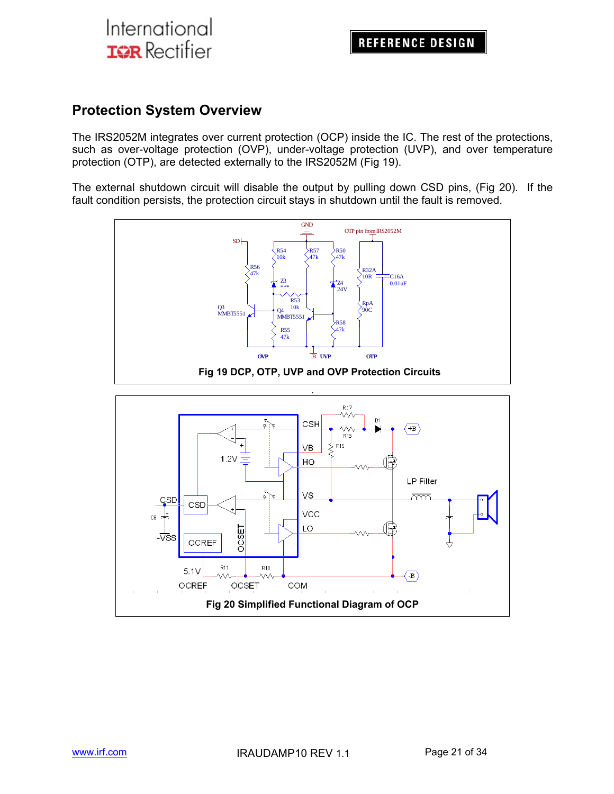### **Protection System Overview**

The IRS2052M integrates over current protection (OCP) inside the IC. The rest of the protections, such as over-voltage protection (OVP), under-voltage protection (UVP), and over temperature protection (OTP), are detected externally to the IRS2052M (Fig 19).

The external shutdown circuit will disable the output by pulling down CSD pins, (Fig 20). If the fault condition persists, the protection circuit stays in shutdown until the fault is removed.

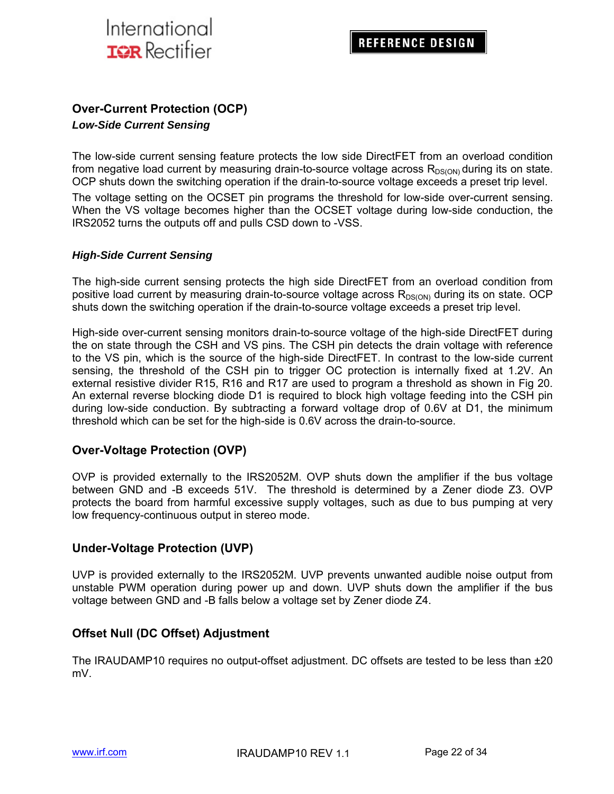

### **Over-Current Protection (OCP)**

#### *Low-Side Current Sensing*

The low-side current sensing feature protects the low side DirectFET from an overload condition from negative load current by measuring drain-to-source voltage across  $R_{DS(ON)}$  during its on state. OCP shuts down the switching operation if the drain-to-source voltage exceeds a preset trip level.

The voltage setting on the OCSET pin programs the threshold for low-side over-current sensing. When the VS voltage becomes higher than the OCSET voltage during low-side conduction, the IRS2052 turns the outputs off and pulls CSD down to -VSS.

#### *High-Side Current Sensing*

The high-side current sensing protects the high side DirectFET from an overload condition from positive load current by measuring drain-to-source voltage across  $R_{DS(ON)}$  during its on state. OCP shuts down the switching operation if the drain-to-source voltage exceeds a preset trip level.

High-side over-current sensing monitors drain-to-source voltage of the high-side DirectFET during the on state through the CSH and VS pins. The CSH pin detects the drain voltage with reference to the VS pin, which is the source of the high-side DirectFET. In contrast to the low-side current sensing, the threshold of the CSH pin to trigger OC protection is internally fixed at 1.2V. An external resistive divider R15, R16 and R17 are used to program a threshold as shown in Fig 20. An external reverse blocking diode D1 is required to block high voltage feeding into the CSH pin during low-side conduction. By subtracting a forward voltage drop of 0.6V at D1, the minimum threshold which can be set for the high-side is 0.6V across the drain-to-source.

#### **Over-Voltage Protection (OVP)**

OVP is provided externally to the IRS2052M. OVP shuts down the amplifier if the bus voltage between GND and -B exceeds 51V. The threshold is determined by a Zener diode Z3. OVP protects the board from harmful excessive supply voltages, such as due to bus pumping at very low frequency-continuous output in stereo mode.

#### **Under-Voltage Protection (UVP)**

UVP is provided externally to the IRS2052M. UVP prevents unwanted audible noise output from unstable PWM operation during power up and down. UVP shuts down the amplifier if the bus voltage between GND and -B falls below a voltage set by Zener diode Z4.

#### **Offset Null (DC Offset) Adjustment**

The IRAUDAMP10 requires no output-offset adjustment. DC offsets are tested to be less than ±20 mV.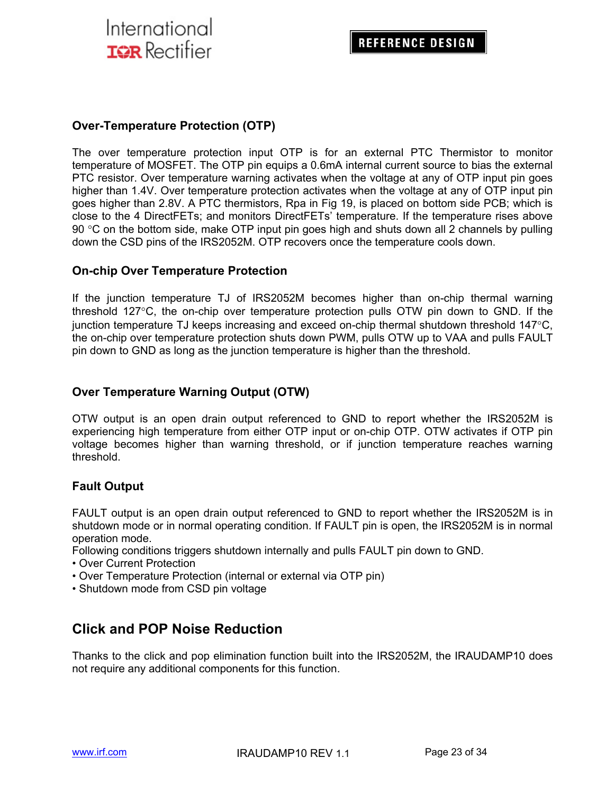#### **Over-Temperature Protection (OTP)**

The over temperature protection input OTP is for an external PTC Thermistor to monitor temperature of MOSFET. The OTP pin equips a 0.6mA internal current source to bias the external PTC resistor. Over temperature warning activates when the voltage at any of OTP input pin goes higher than 1.4V. Over temperature protection activates when the voltage at any of OTP input pin goes higher than 2.8V. A PTC thermistors, Rpa in Fig 19, is placed on bottom side PCB; which is close to the 4 DirectFETs; and monitors DirectFETs' temperature. If the temperature rises above 90 °C on the bottom side, make OTP input pin goes high and shuts down all 2 channels by pulling down the CSD pins of the IRS2052M. OTP recovers once the temperature cools down.

#### **On-chip Over Temperature Protection**

If the junction temperature TJ of IRS2052M becomes higher than on-chip thermal warning threshold 127°C, the on-chip over temperature protection pulls OTW pin down to GND. If the junction temperature TJ keeps increasing and exceed on-chip thermal shutdown threshold  $147^{\circ}$ C, the on-chip over temperature protection shuts down PWM, pulls OTW up to VAA and pulls FAULT pin down to GND as long as the junction temperature is higher than the threshold.

#### **Over Temperature Warning Output (OTW)**

OTW output is an open drain output referenced to GND to report whether the IRS2052M is experiencing high temperature from either OTP input or on-chip OTP. OTW activates if OTP pin voltage becomes higher than warning threshold, or if junction temperature reaches warning threshold.

#### **Fault Output**

FAULT output is an open drain output referenced to GND to report whether the IRS2052M is in shutdown mode or in normal operating condition. If FAULT pin is open, the IRS2052M is in normal operation mode.

Following conditions triggers shutdown internally and pulls FAULT pin down to GND.

- Over Current Protection
- Over Temperature Protection (internal or external via OTP pin)
- Shutdown mode from CSD pin voltage

### **Click and POP Noise Reduction**

Thanks to the click and pop elimination function built into the IRS2052M, the IRAUDAMP10 does not require any additional components for this function.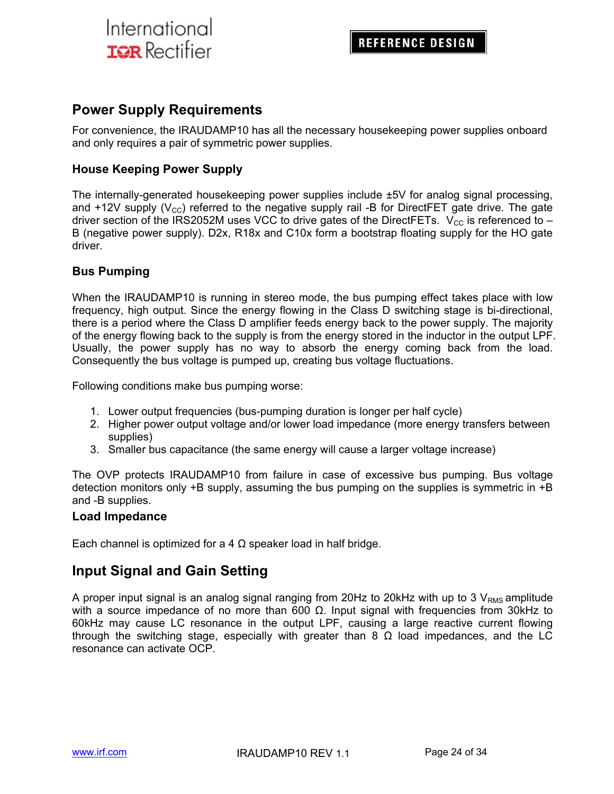### **Power Supply Requirements**

For convenience, the IRAUDAMP10 has all the necessary housekeeping power supplies onboard and only requires a pair of symmetric power supplies.

#### **House Keeping Power Supply**

The internally-generated housekeeping power supplies include ±5V for analog signal processing, and +12V supply  $(V_{\text{cc}})$  referred to the negative supply rail -B for DirectFET gate drive. The gate driver section of the IRS2052M uses VCC to drive gates of the DirectFETs.  $V_{CC}$  is referenced to – B (negative power supply). D2x, R18x and C10x form a bootstrap floating supply for the HO gate driver.

#### **Bus Pumping**

When the IRAUDAMP10 is running in stereo mode, the bus pumping effect takes place with low frequency, high output. Since the energy flowing in the Class D switching stage is bi-directional, there is a period where the Class D amplifier feeds energy back to the power supply. The majority of the energy flowing back to the supply is from the energy stored in the inductor in the output LPF. Usually, the power supply has no way to absorb the energy coming back from the load. Consequently the bus voltage is pumped up, creating bus voltage fluctuations.

Following conditions make bus pumping worse:

- 1. Lower output frequencies (bus-pumping duration is longer per half cycle)
- 2. Higher power output voltage and/or lower load impedance (more energy transfers between supplies)
- 3. Smaller bus capacitance (the same energy will cause a larger voltage increase)

The OVP protects IRAUDAMP10 from failure in case of excessive bus pumping. Bus voltage detection monitors only +B supply, assuming the bus pumping on the supplies is symmetric in +B and -B supplies.

#### **Load Impedance**

Each channel is optimized for a 4  $\Omega$  speaker load in half bridge.

### **Input Signal and Gain Setting**

A proper input signal is an analog signal ranging from 20Hz to 20kHz with up to 3  $V_{RMS}$  amplitude with a source impedance of no more than 600  $Ω$ . Input signal with frequencies from 30kHz to 60kHz may cause LC resonance in the output LPF, causing a large reactive current flowing through the switching stage, especially with greater than 8  $\Omega$  load impedances, and the LC resonance can activate OCP.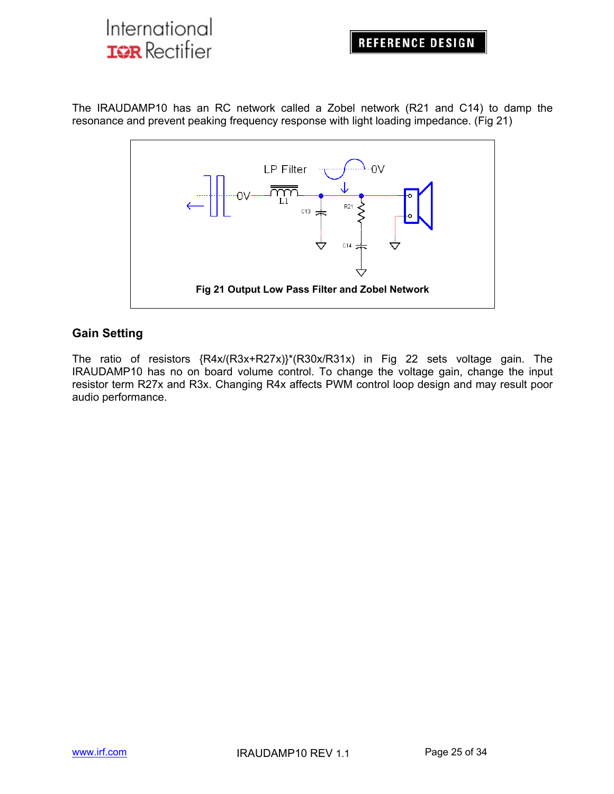The IRAUDAMP10 has an RC network called a Zobel network (R21 and C14) to damp the resonance and prevent peaking frequency response with light loading impedance. (Fig 21)



#### **Gain Setting**

The ratio of resistors {R4x/(R3x+R27x)}\*(R30x/R31x) in Fig 22 sets voltage gain. The IRAUDAMP10 has no on board volume control. To change the voltage gain, change the input resistor term R27x and R3x. Changing R4x affects PWM control loop design and may result poor audio performance.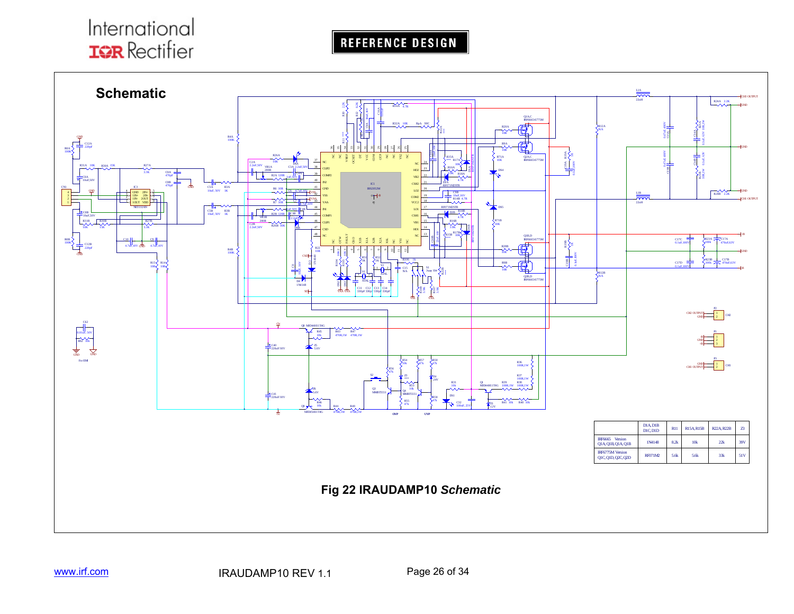REFERENCE DESIGN

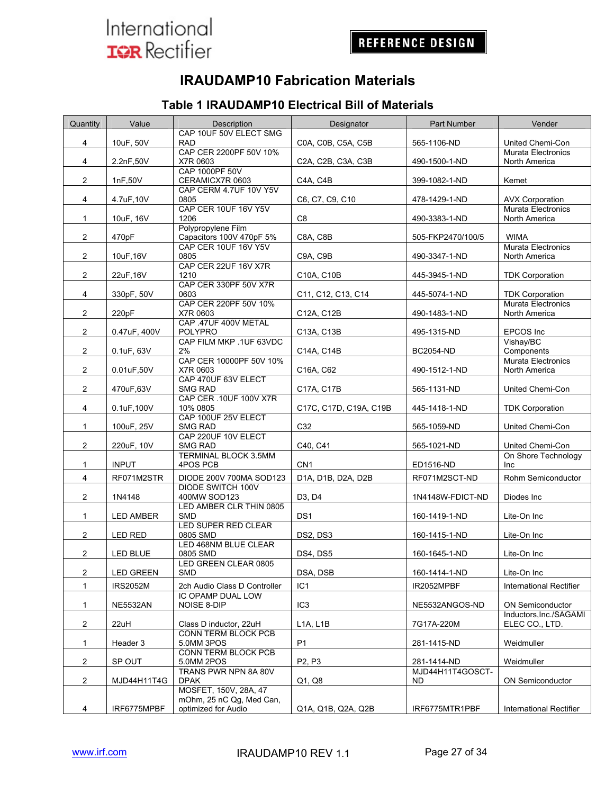### **IRAUDAMP10 Fabrication Materials**

### **Table 1 IRAUDAMP10 Electrical Bill of Materials**

| Quantity              | Value                               | Description                                     | Designator                      | Part Number            | Vender                                        |
|-----------------------|-------------------------------------|-------------------------------------------------|---------------------------------|------------------------|-----------------------------------------------|
|                       |                                     | CAP 10UF 50V ELECT SMG<br><b>RAD</b>            |                                 |                        |                                               |
| 4                     | 10uF, 50V<br>CAP CER 2200PF 50V 10% |                                                 | C0A, C0B, C5A, C5B              | 565-1106-ND            | United Chemi-Con<br><b>Murata Electronics</b> |
| 4                     | X7R 0603<br>2.2nF,50V               |                                                 | C2A, C2B, C3A, C3B              | 490-1500-1-ND          | North America                                 |
| $\mathbf{2}^{\prime}$ | 1nF,50V                             | <b>CAP 1000PF 50V</b><br>CERAMICX7R 0603        | C4A, C4B                        | 399-1082-1-ND          | Kemet                                         |
| 4                     | 4.7uF,10V                           | CAP CERM 4.7UF 10V Y5V<br>0805                  | C6, C7, C9, C10                 | 478-1429-1-ND          | <b>AVX Corporation</b>                        |
|                       |                                     | CAP CER 10UF 16V Y5V                            |                                 |                        | <b>Murata Electronics</b>                     |
| 1                     | 10uF, 16V                           | 1206                                            | C8                              | 490-3383-1-ND          | North America                                 |
| 2                     | 470pF                               | Polypropylene Film<br>Capacitors 100V 470pF 5%  | C8A, C8B                        | 505-FKP2470/100/5      | <b>WIMA</b>                                   |
| $\overline{c}$        | 10uF, 16V                           | CAP CER 10UF 16V Y5V<br>0805                    | C9A, C9B                        | 490-3347-1-ND          | <b>Murata Electronics</b><br>North America    |
| $\overline{c}$        | 22uF, 16V                           | CAP CER 22UF 16V X7R<br>1210                    | C10A, C10B                      | 445-3945-1-ND          | <b>TDK Corporation</b>                        |
| 4                     | 330pF, 50V                          | CAP CER 330PF 50V X7R<br>0603                   | C11, C12, C13, C14              | 445-5074-1-ND          | <b>TDK Corporation</b>                        |
| $\overline{2}$        | 220pF                               | CAP CER 220PF 50V 10%<br>X7R 0603               | C12A, C12B                      | 490-1483-1-ND          | Murata Electronics<br>North America           |
| 2                     | 0.47uF, 400V                        | CAP .47UF 400V METAL<br>POLYPRO                 | C13A, C13B                      | 495-1315-ND            | EPCOS Inc                                     |
| 2                     | 0.1uF, 63V                          | CAP FILM MKP .1UF 63VDC<br>2%                   | C14A, C14B                      | <b>BC2054-ND</b>       | Vishay/BC<br>Components                       |
|                       |                                     | CAP CER 10000PF 50V 10%<br>X7R 0603             |                                 |                        | Murata Electronics<br>North America           |
| $\overline{c}$        | 0.01uF,50V                          | CAP 470UF 63V ELECT                             | C16A, C62                       | 490-1512-1-ND          |                                               |
| $\overline{c}$        | 470uF,63V                           | <b>SMG RAD</b><br><b>CAP CER .10UF 100V X7R</b> | C17A, C17B                      | 565-1131-ND            | United Chemi-Con                              |
| 4                     | 0.1uF, 100V                         | 10% 0805                                        | C17C, C17D, C19A, C19B          | 445-1418-1-ND          | <b>TDK Corporation</b>                        |
| 1                     | 100uF, 25V                          | CAP 100UF 25V ELECT<br><b>SMG RAD</b>           | C32                             | 565-1059-ND            | United Chemi-Con                              |
| 2                     | 220uF, 10V                          | CAP 220UF 10V ELECT<br><b>SMG RAD</b>           | C40, C41                        | 565-1021-ND            | United Chemi-Con                              |
| 1                     | <b>INPUT</b>                        | TERMINAL BLOCK 3.5MM<br>4POS PCB                | CN <sub>1</sub>                 | ED1516-ND              | On Shore Technology<br>Inc                    |
| 4                     | RF071M2STR                          | DIODE 200V 700MA SOD123                         | D1A, D1B, D2A, D2B              | RF071M2SCT-ND          | Rohm Semiconductor                            |
|                       |                                     | <b>DIODE SWITCH 100V</b>                        |                                 |                        |                                               |
| $\overline{c}$        | 1N4148                              | 400MW SOD123                                    | D3, D4                          | 1N4148W-FDICT-ND       | Diodes Inc                                    |
| $\mathbf{1}$          | <b>LED AMBER</b>                    | LED AMBER CLR THIN 0805<br><b>SMD</b>           | DS <sub>1</sub>                 | 160-1419-1-ND          | Lite-On Inc                                   |
| 2                     | LED RED                             | LED SUPER RED CLEAR<br>0805 SMD                 | DS2, DS3                        | 160-1415-1-ND          | Lite-On Inc                                   |
| $\overline{c}$        | LED BLUE                            | LED 468NM BLUE CLEAR<br>0805 SMD                | DS4, DS5                        | 160-1645-1-ND          | Lite-On Inc                                   |
| 2                     | <b>LED GREEN</b>                    | LED GREEN CLEAR 0805<br>SMD                     | DSA, DSB                        | 160-1414-1-ND          | Lite-On Inc                                   |
| 1                     | <b>IRS2052M</b>                     | 2ch Audio Class D Controller                    | IC <sub>1</sub>                 | IR2052MPBF             | International Rectifier                       |
| $\mathbf{1}$          | <b>NE5532AN</b>                     | IC OPAMP DUAL LOW<br>NOISE 8-DIP                | IC <sub>3</sub>                 | NE5532ANGOS-ND         | <b>ON Semiconductor</b>                       |
| $\overline{c}$        | 22uH                                | Class D inductor, 22uH                          | LA, L1B                         | 7G17A-220M             | Inductors, Inc./SAGAMI<br>ELEC CO., LTD.      |
| $\mathbf{1}$          | Header 3                            | CONN TERM BLOCK PCB<br>5.0MM 3POS               | P <sub>1</sub>                  | 281-1415-ND            | Weidmuller                                    |
| $\overline{2}$        | SP OUT                              | CONN TERM BLOCK PCB<br>5.0MM 2POS               | P <sub>2</sub> , P <sub>3</sub> | 281-1414-ND            | Weidmuller                                    |
| 2                     | MJD44H11T4G                         | TRANS PWR NPN 8A 80V<br><b>DPAK</b>             | Q1, Q8                          | MJD44H11T4GOSCT-<br>ND | ON Semiconductor                              |
|                       |                                     | MOSFET, 150V, 28A, 47                           |                                 |                        |                                               |
|                       |                                     | mOhm, 25 nC Qg, Med Can,                        |                                 |                        |                                               |
| 4                     | IRF6775MPBF                         | optimized for Audio                             | Q1A, Q1B, Q2A, Q2B              | IRF6775MTR1PBF         | International Rectifier                       |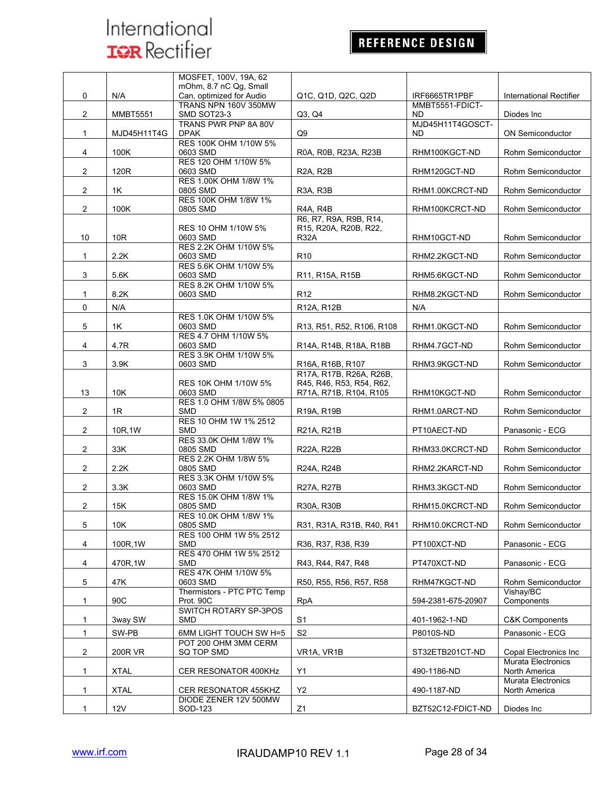## **REFERENCE DESIGN**

|                |                 | MOSFET, 100V, 19A, 62                            |                                                                                           |                                  |                                                     |
|----------------|-----------------|--------------------------------------------------|-------------------------------------------------------------------------------------------|----------------------------------|-----------------------------------------------------|
|                |                 | mOhm, 8.7 nC Qg, Small                           |                                                                                           |                                  |                                                     |
| 0              | N/A             | Can, optimized for Audio<br>TRANS NPN 160V 350MW | Q1C, Q1D, Q2C, Q2D                                                                        | IRF6665TR1PBF<br>MMBT5551-FDICT- | International Rectifier                             |
| $\overline{2}$ | <b>MMBT5551</b> | SMD SOT23-3                                      | Q3, Q4                                                                                    | <b>ND</b>                        | Diodes Inc                                          |
|                |                 | TRANS PWR PNP 8A 80V                             |                                                                                           | MJD45H11T4GOSCT-                 |                                                     |
| 1              | MJD45H11T4G     | <b>DPAK</b>                                      | Q <sub>9</sub>                                                                            | ND                               | ON Semiconductor                                    |
|                |                 | RES 100K OHM 1/10W 5%                            |                                                                                           |                                  |                                                     |
| 4              | 100K            | 0603 SMD<br>RES 120 OHM 1/10W 5%                 | R0A, R0B, R23A, R23B                                                                      | RHM100KGCT-ND                    | Rohm Semiconductor                                  |
| $\overline{a}$ | 120R            | 0603 SMD                                         | <b>R2A, R2B</b>                                                                           | RHM120GCT-ND                     | Rohm Semiconductor                                  |
|                |                 | RES 1.00K OHM 1/8W 1%                            |                                                                                           |                                  |                                                     |
| $\overline{2}$ | 1K              | 0805 SMD                                         | R <sub>3</sub> A, R <sub>3</sub> B                                                        | RHM1.00KCRCT-ND                  | Rohm Semiconductor                                  |
| $\overline{2}$ | 100K            | RES 100K OHM 1/8W 1%<br>0805 SMD                 | <b>R4A, R4B</b>                                                                           | RHM100KCRCT-ND                   | Rohm Semiconductor                                  |
|                |                 |                                                  | R6, R7, R9A, R9B, R14,                                                                    |                                  |                                                     |
|                |                 | RES 10 OHM 1/10W 5%                              | R15, R20A, R20B, R22,                                                                     |                                  |                                                     |
| 10             | 10R             | 0603 SMD                                         | <b>R32A</b>                                                                               | RHM10GCT-ND                      | Rohm Semiconductor                                  |
|                |                 | RES 2.2K OHM 1/10W 5%                            |                                                                                           |                                  |                                                     |
| $\mathbf{1}$   | 2.2K            | 0603 SMD<br>RES 5.6K OHM 1/10W 5%                | R <sub>10</sub>                                                                           | RHM2.2KGCT-ND                    | Rohm Semiconductor                                  |
| 3              | 5.6K            | 0603 SMD                                         | R11, R15A, R15B                                                                           | RHM5.6KGCT-ND                    | Rohm Semiconductor                                  |
|                |                 | RES 8.2K OHM 1/10W 5%                            |                                                                                           |                                  |                                                     |
| 1              | 8.2K            | 0603 SMD                                         | R <sub>12</sub>                                                                           | RHM8.2KGCT-ND                    | Rohm Semiconductor                                  |
| $\Omega$       | N/A             |                                                  | R12A, R12B                                                                                | N/A                              |                                                     |
|                |                 | RES 1.0K OHM 1/10W 5%                            |                                                                                           |                                  |                                                     |
| 5              | 1K              | 0603 SMD<br>RES 4.7 OHM 1/10W 5%                 | R <sub>13</sub> , R <sub>51</sub> , R <sub>52</sub> , R <sub>106</sub> , R <sub>108</sub> | RHM1.0KGCT-ND                    | Rohm Semiconductor                                  |
| 4              | 4.7R            | 0603 SMD                                         | R14A, R14B, R18A, R18B                                                                    | RHM4.7GCT-ND                     | Rohm Semiconductor                                  |
|                |                 | RES 3.9K OHM 1/10W 5%                            |                                                                                           |                                  |                                                     |
| 3              | 3.9K            | 0603 SMD                                         | R16A, R16B, R107                                                                          | RHM3.9KGCT-ND                    | Rohm Semiconductor                                  |
|                |                 |                                                  | R17A, R17B, R26A, R26B,                                                                   |                                  |                                                     |
| 13             | 10K             | RES 10K OHM 1/10W 5%<br>0603 SMD                 | R45, R46, R53, R54, R62,<br>R71A, R71B, R104, R105                                        | RHM10KGCT-ND                     | Rohm Semiconductor                                  |
|                |                 | RES 1.0 OHM 1/8W 5% 0805                         |                                                                                           |                                  |                                                     |
| 2              | 1R              | <b>SMD</b>                                       | R19A, R19B                                                                                | RHM1.0ARCT-ND                    | Rohm Semiconductor                                  |
|                |                 | RES 10 OHM 1W 1% 2512                            |                                                                                           |                                  |                                                     |
| $\overline{2}$ | 10R,1W          | <b>SMD</b><br>RES 33.0K OHM 1/8W 1%              | R21A, R21B                                                                                | PT10AECT-ND                      | Panasonic - ECG                                     |
| $\overline{2}$ | 33K             | 0805 SMD                                         | R22A, R22B                                                                                | RHM33.0KCRCT-ND                  | Rohm Semiconductor                                  |
|                |                 | RES 2.2K OHM 1/8W 5%                             |                                                                                           |                                  |                                                     |
| $\overline{2}$ | 2.2K            | 0805 SMD                                         | R24A, R24B                                                                                | RHM2.2KARCT-ND                   | Rohm Semiconductor                                  |
| $\overline{2}$ | 3.3K            | RES 3.3K OHM 1/10W 5%<br>0603 SMD                | R27A, R27B                                                                                | RHM3.3KGCT-ND                    | Rohm Semiconductor                                  |
|                |                 | RES 15.0K OHM 1/8W 1%                            |                                                                                           |                                  |                                                     |
| 2              | 15K             | 0805 SMD                                         | R30A, R30B                                                                                | RHM15.0KCRCT-ND                  | Rohm Semiconductor                                  |
|                |                 | RES 10.0K OHM 1/8W 1%                            |                                                                                           |                                  |                                                     |
| 5              | 10K             | 0805 SMD                                         | R31, R31A, R31B, R40, R41                                                                 | RHM10.0KCRCT-ND                  | Rohm Semiconductor                                  |
| 4              | 100R, 1W        | RES 100 OHM 1W 5% 2512<br><b>SMD</b>             | R36, R37, R38, R39                                                                        | PT100XCT-ND                      | Panasonic - ECG                                     |
|                |                 | RES 470 OHM 1W 5% 2512                           |                                                                                           |                                  |                                                     |
| 4              | 470R.1W         | <b>SMD</b>                                       | R43, R44, R47, R48                                                                        | PT470XCT-ND                      | Panasonic - ECG                                     |
|                |                 | RES 47K OHM 1/10W 5%                             |                                                                                           |                                  |                                                     |
| 5              | 47K             | 0603 SMD<br>Thermistors - PTC PTC Temp           | R50, R55, R56, R57, R58                                                                   | RHM47KGCT-ND                     | Rohm Semiconductor<br>Vishay/BC                     |
| 1              | 90C             | Prot. 90C                                        | <b>RpA</b>                                                                                | 594-2381-675-20907               | Components                                          |
|                |                 | SWITCH ROTARY SP-3POS                            |                                                                                           |                                  |                                                     |
| 1              | 3way SW         | <b>SMD</b>                                       | S1                                                                                        | 401-1962-1-ND                    | <b>C&amp;K Components</b>                           |
| 1              | SW-PB           | 6MM LIGHT TOUCH SW H=5                           | S <sub>2</sub>                                                                            | P8010S-ND                        | Panasonic - ECG                                     |
|                |                 | POT 200 OHM 3MM CERM                             |                                                                                           |                                  |                                                     |
| 2              | 200R VR         | SQ TOP SMD                                       | VR1A, VR1B                                                                                | ST32ETB201CT-ND                  | Copal Electronics Inc.<br><b>Murata Electronics</b> |
| 1              | <b>XTAL</b>     | CER RESONATOR 400KHz                             | Y1                                                                                        | 490-1186-ND                      | North America                                       |
|                |                 |                                                  |                                                                                           |                                  | Murata Electronics                                  |
| 1              | <b>XTAL</b>     | CER RESONATOR 455KHZ                             | <b>Y2</b>                                                                                 | 490-1187-ND                      | North America                                       |
|                |                 | DIODE ZENER 12V 500MW                            |                                                                                           |                                  |                                                     |
| 1              | 12V             | SOD-123                                          | Z1                                                                                        | BZT52C12-FDICT-ND                | Diodes Inc                                          |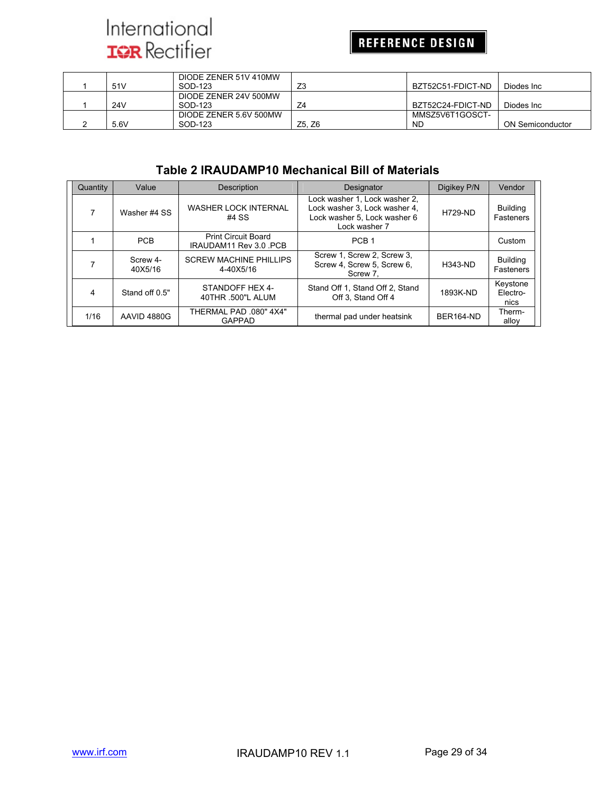## **REFERENCE DESIGN**

|      | DIODE ZENER 51V 410MW  |        |                   |                  |
|------|------------------------|--------|-------------------|------------------|
| 51 V | SOD-123                | Z3     | BZT52C51-FDICT-ND | Diodes Inc.      |
|      | DIODE ZENER 24V 500MW  |        |                   |                  |
| 24V  | SOD-123                | Z4     | BZT52C24-FDICT-ND | Diodes Inc.      |
|      | DIODE ZENER 5.6V 500MW |        | MMSZ5V6T1GOSCT-   |                  |
| 5.6V | SOD-123                | Z5. Z6 | <b>ND</b>         | ON Semiconductor |

#### **Table 2 IRAUDAMP10 Mechanical Bill of Materials**

| Quantity | Value               | <b>Description</b>                                   | Designator                                                                                                      | Digikey P/N      | Vendor                       |
|----------|---------------------|------------------------------------------------------|-----------------------------------------------------------------------------------------------------------------|------------------|------------------------------|
|          | Washer #4 SS        | <b>WASHER LOCK INTERNAL</b><br>#4 SS                 | Lock washer 1. Lock washer 2.<br>Lock washer 3. Lock washer 4.<br>Lock washer 5, Lock washer 6<br>Lock washer 7 | <b>H729-ND</b>   | <b>Building</b><br>Fasteners |
|          | <b>PCB</b>          | <b>Print Circuit Board</b><br>IRAUDAM11 Rev 3.0 .PCB | PCB <sub>1</sub>                                                                                                |                  | Custom                       |
|          | Screw 4-<br>40X5/16 | <b>SCREW MACHINE PHILLIPS</b><br>4-40X5/16           | Screw 1, Screw 2, Screw 3,<br>Screw 4, Screw 5, Screw 6,<br>Screw 7.                                            | <b>H343-ND</b>   | <b>Building</b><br>Fasteners |
| 4        | Stand off 0.5"      | STANDOFF HEX 4-<br>40THR .500"L ALUM                 | Stand Off 1, Stand Off 2, Stand<br>Off 3. Stand Off 4                                                           | 1893K-ND         | Keystone<br>Electro-<br>nics |
| 1/16     | AAVID 4880G         | "THERMAL PAD .080" 4X4<br><b>GAPPAD</b>              | thermal pad under heatsink                                                                                      | <b>BER164-ND</b> | Therm-<br>alloy              |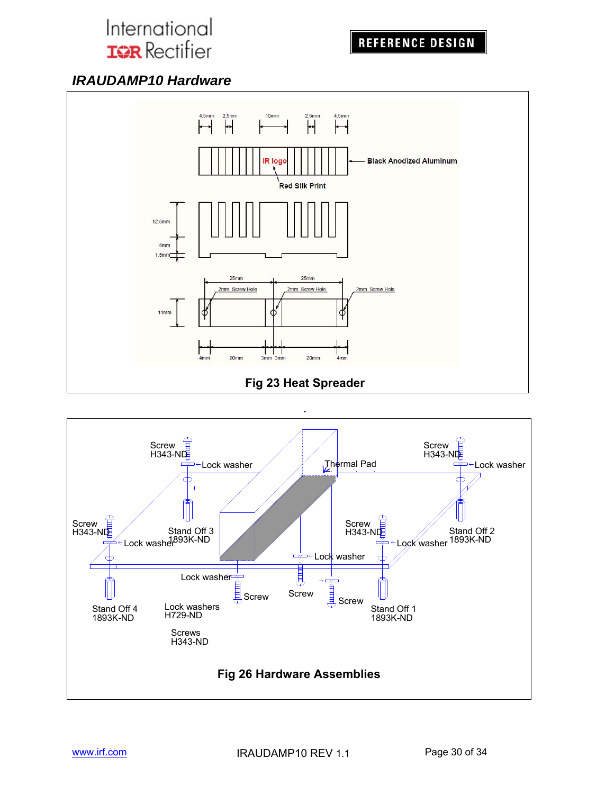**REFERENCE DESIGN** 

### *IRAUDAMP10 Hardware*



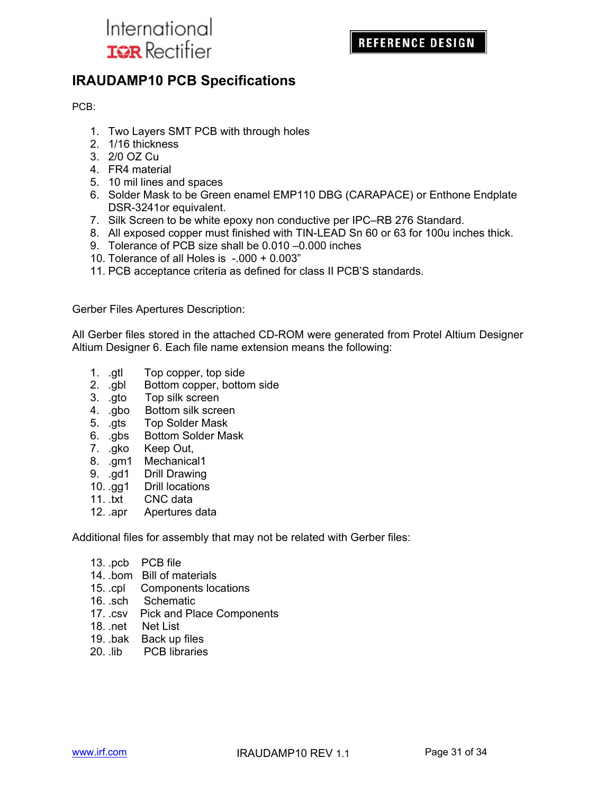

### **IRAUDAMP10 PCB Specifications**

PCB:

- 1. Two Layers SMT PCB with through holes
- 2. 1/16 thickness
- 3. 2/0 OZ Cu
- 4. FR4 material
- 5. 10 mil lines and spaces
- 6. Solder Mask to be Green enamel EMP110 DBG (CARAPACE) or Enthone Endplate DSR-3241or equivalent.
- 7. Silk Screen to be white epoxy non conductive per IPC–RB 276 Standard.
- 8. All exposed copper must finished with TIN-LEAD Sn 60 or 63 for 100u inches thick.
- 9. Tolerance of PCB size shall be 0.010 –0.000 inches
- 10. Tolerance of all Holes is -.000 + 0.003"
- 11. PCB acceptance criteria as defined for class II PCB'S standards.

Gerber Files Apertures Description:

All Gerber files stored in the attached CD-ROM were generated from Protel Altium Designer Altium Designer 6. Each file name extension means the following:

- 1. .gtl Top copper, top side
- 2. .gbl Bottom copper, bottom side
- 3. .gto Top silk screen
- 4. .gbo Bottom silk screen
- 5. .gts Top Solder Mask
- 6. .gbs Bottom Solder Mask
- 7. .gko Keep Out,
- 8. .gm1 Mechanical1
- 9. .gd1 Drill Drawing
- 10. .gg1 Drill locations
- 11. .txt CNC data
- 12. .apr Apertures data

Additional files for assembly that may not be related with Gerber files:

- 13. .pcb PCB file
- 14. .bom Bill of materials
- 15. .cpl Components locations
- 16. .sch Schematic
- 17. .csv Pick and Place Components
- 18. .net Net List
- 19. .bak Back up files
- 20. .lib PCB libraries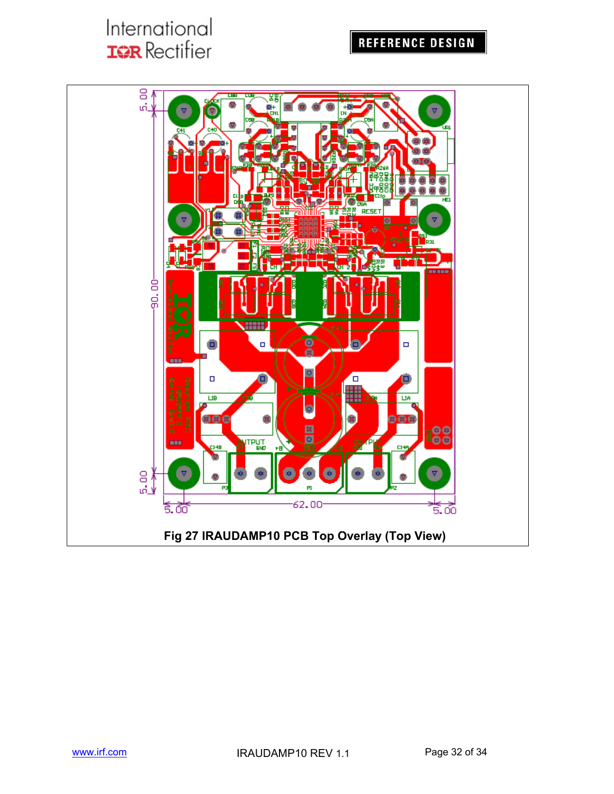### **REFERENCE DESIGN**

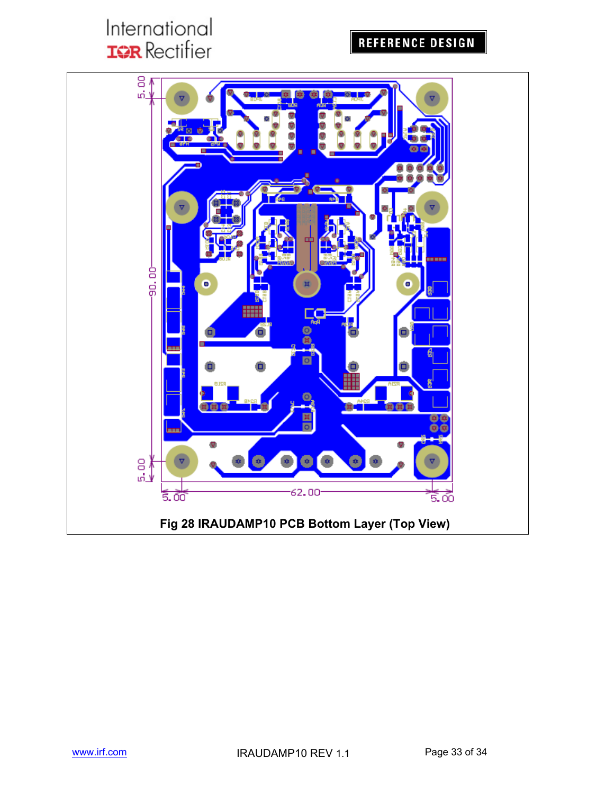## **REFERENCE DESIGN**